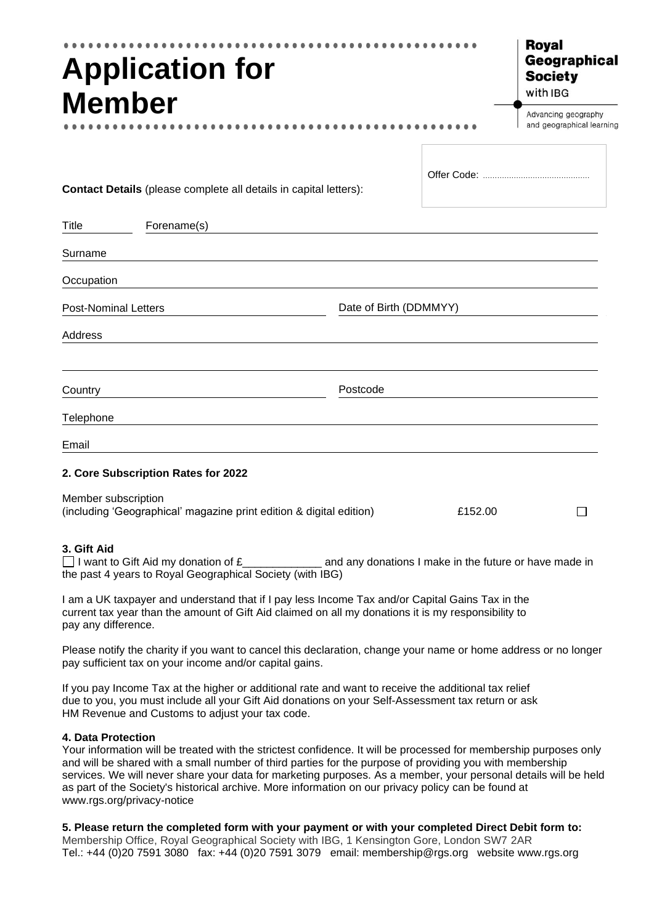| <b>Application for</b><br><b>Member</b>                                                                                                                                  | <b>Royal</b><br>Geographical<br><b>Society</b><br>with IBG |                                                  |
|--------------------------------------------------------------------------------------------------------------------------------------------------------------------------|------------------------------------------------------------|--------------------------------------------------|
|                                                                                                                                                                          |                                                            | Advancing geography<br>and geographical learning |
| Contact Details (please complete all details in capital letters):                                                                                                        |                                                            |                                                  |
| Forename(s)<br>Title                                                                                                                                                     |                                                            |                                                  |
| Surname                                                                                                                                                                  |                                                            |                                                  |
| Occupation                                                                                                                                                               |                                                            |                                                  |
| <b>Post-Nominal Letters</b>                                                                                                                                              | Date of Birth (DDMMYY)                                     |                                                  |
| Address                                                                                                                                                                  |                                                            |                                                  |
|                                                                                                                                                                          |                                                            |                                                  |
| Country                                                                                                                                                                  | Postcode                                                   |                                                  |
| Telephone                                                                                                                                                                |                                                            |                                                  |
| Email                                                                                                                                                                    |                                                            |                                                  |
| 2. Core Subscription Rates for 2022                                                                                                                                      |                                                            |                                                  |
| Member subscription<br>(including 'Geographical' magazine print edition & digital edition)<br>£152.00                                                                    |                                                            | $\mathsf{L}$                                     |
| 3. Gift Aid<br>I want to Gift Aid my donation of $E$ and any donations I make in the future or have made in<br>the past 4 years to Royal Geographical Society (with IBG) |                                                            |                                                  |
|                                                                                                                                                                          |                                                            |                                                  |

I am a UK taxpayer and understand that if I pay less Income Tax and/or Capital Gains Tax in the current tax year than the amount of Gift Aid claimed on all my donations it is my responsibility to pay any difference.

Please notify the charity if you want to cancel this declaration, change your name or home address or no longer pay sufficient tax on your income and/or capital gains.

If you pay Income Tax at the higher or additional rate and want to receive the additional tax relief due to you, you must include all your Gift Aid donations on your Self-Assessment tax return or ask HM Revenue and Customs to adjust your tax code.

## **4. Data Protection**

Your information will be treated with the strictest confidence. It will be processed for membership purposes only and will be shared with a small number of third parties for the purpose of providing you with membership services. We will never share your data for marketing purposes. As a member, your personal details will be held as part of the Society's historical archive. More information on our privacy policy can be found at www.rgs.org/privacy-notice

## **5. Please return the completed form with your payment or with your completed Direct Debit form to:**

Membership Office, Royal Geographical Society with IBG, 1 Kensington Gore, London SW7 2AR Tel.: +44 (0)20 7591 3080 fax: +44 (0)20 7591 3079 email: membership@rgs.org website [www.rgs.org](http://www.rgs.org/)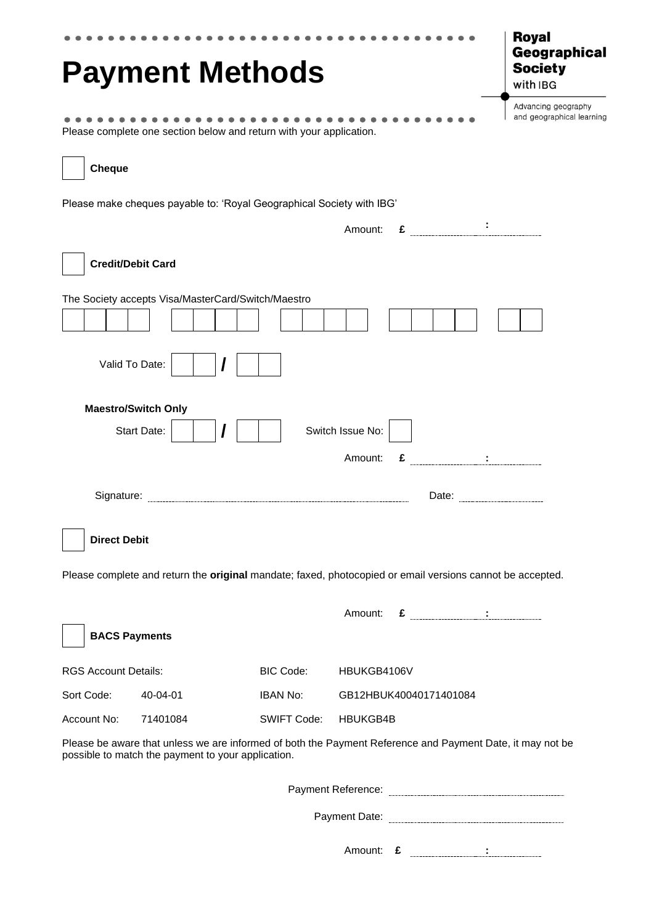| <b>Payment Methods</b>                                                                                                                                          | <b>Royal</b><br>Geographical<br><b>Society</b><br>with IBG                                                                                                                                                                                                                                                                                                |
|-----------------------------------------------------------------------------------------------------------------------------------------------------------------|-----------------------------------------------------------------------------------------------------------------------------------------------------------------------------------------------------------------------------------------------------------------------------------------------------------------------------------------------------------|
| Please complete one section below and return with your application.                                                                                             | Advancing geography<br>and geographical learning                                                                                                                                                                                                                                                                                                          |
| <b>Cheque</b>                                                                                                                                                   |                                                                                                                                                                                                                                                                                                                                                           |
| Please make cheques payable to: 'Royal Geographical Society with IBG'                                                                                           |                                                                                                                                                                                                                                                                                                                                                           |
|                                                                                                                                                                 | Amount: $\epsilon$ $\cdot$                                                                                                                                                                                                                                                                                                                                |
| <b>Credit/Debit Card</b>                                                                                                                                        |                                                                                                                                                                                                                                                                                                                                                           |
| The Society accepts Visa/MasterCard/Switch/Maestro                                                                                                              |                                                                                                                                                                                                                                                                                                                                                           |
| Valid To Date:                                                                                                                                                  |                                                                                                                                                                                                                                                                                                                                                           |
| <b>Maestro/Switch Only</b>                                                                                                                                      |                                                                                                                                                                                                                                                                                                                                                           |
| Start Date:                                                                                                                                                     | Switch Issue No:                                                                                                                                                                                                                                                                                                                                          |
|                                                                                                                                                                 | $\epsilon$ $\qquad$ $\qquad$ $\qquad$ $\qquad$ $\qquad$ $\qquad$ $\qquad$ $\qquad$ $\qquad$ $\qquad$ $\qquad$ $\qquad$ $\qquad$ $\qquad$ $\qquad$ $\qquad$ $\qquad$ $\qquad$ $\qquad$ $\qquad$ $\qquad$ $\qquad$ $\qquad$ $\qquad$ $\qquad$ $\qquad$ $\qquad$ $\qquad$ $\qquad$ $\qquad$ $\qquad$ $\qquad$ $\qquad$ $\qquad$ $\qquad$ $\qquad$<br>Amount: |
|                                                                                                                                                                 |                                                                                                                                                                                                                                                                                                                                                           |
| <b>Direct Debit</b>                                                                                                                                             |                                                                                                                                                                                                                                                                                                                                                           |
| Please complete and return the original mandate; faxed, photocopied or email versions cannot be accepted.                                                       |                                                                                                                                                                                                                                                                                                                                                           |
|                                                                                                                                                                 | $\epsilon$ <u>:</u><br>Amount:                                                                                                                                                                                                                                                                                                                            |
| <b>BACS Payments</b>                                                                                                                                            |                                                                                                                                                                                                                                                                                                                                                           |
| <b>RGS Account Details:</b><br>BIC Code:                                                                                                                        | HBUKGB4106V                                                                                                                                                                                                                                                                                                                                               |
| Sort Code:<br>40-04-01<br><b>IBAN No:</b>                                                                                                                       | GB12HBUK40040171401084                                                                                                                                                                                                                                                                                                                                    |
| Account No:<br>71401084<br>SWIFT Code:                                                                                                                          | HBUKGB4B                                                                                                                                                                                                                                                                                                                                                  |
| Please be aware that unless we are informed of both the Payment Reference and Payment Date, it may not be<br>possible to match the payment to your application. |                                                                                                                                                                                                                                                                                                                                                           |
|                                                                                                                                                                 |                                                                                                                                                                                                                                                                                                                                                           |
|                                                                                                                                                                 |                                                                                                                                                                                                                                                                                                                                                           |

Amount: **£ :**